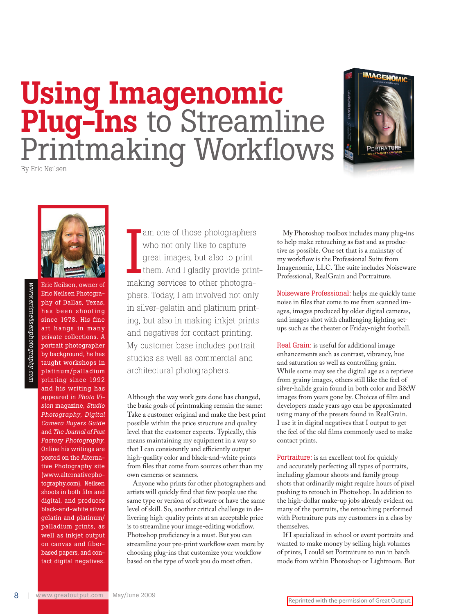## Using Imagenomic Plug-Ins to Streamline Printmaking Workflows



By Eric Neilsen



Eric Neilsen, owner of Eric Neilsen Photography of Dallas, Texas, has been shooting since 1978. His fine art hangs in many private collections. A portrait photographer by background, he has taught workshops in platinum/palladium printing since 1992 and his writing has appeared in *Photo Vision* magazine, *Studio Photography, Digital Camera Buyers Guide* and *The Journal of Post Factory Photography.*  Online his writings are posted on the Alternative Photography site (www.alternativephotography.com). Neilsen shoots in both film and digital, and produces black-and-white silver gelatin and platinum/ palladium prints, as well as inkjet output on canvas and fiberbased papers, and contact digital negatives.

am one of those photographers<br>who not only like to capture<br>great images, but also to print<br>them. And I gladly provide print<br>making services to other photograwho not only like to capture great images, but also to print them. And I gladly provide printmaking services to other photographers. Today, I am involved not only in silver-gelatin and platinum printing, but also in making inkjet prints and negatives for contact printing. My customer base includes portrait studios as well as commercial and architectural photographers.

Although the way work gets done has changed, the basic goals of printmaking remain the same: Take a customer original and make the best print possible within the price structure and quality level that the customer expects. Typically, this means maintaining my equipment in a way so that I can consistently and efficiently output high-quality color and black-and-white prints from files that come from sources other than my own cameras or scanners.

Anyone who prints for other photographers and artists will quickly find that few people use the same type or version of software or have the same level of skill. So, another critical challenge in delivering high-quality prints at an acceptable price is to streamline your image-editing workflow. Photoshop proficiency is a must. But you can streamline your pre-print workflow even more by choosing plug-ins that customize your workflow based on the type of work you do most often.

My Photoshop toolbox includes many plug-ins to help make retouching as fast and as productive as possible. One set that is a mainstay of my workflow is the Professional Suite from Imagenomic, LLC. The suite includes Noiseware Professional, RealGrain and Portraiture.

Noiseware Professional: helps me quickly tame noise in files that come to me from scanned images, images produced by older digital cameras, and images shot with challenging lighting setups such as the theater or Friday-night football.

Real Grain: is useful for additional image enhancements such as contrast, vibrancy, hue and saturation as well as controlling grain. While some may see the digital age as a reprieve from grainy images, others still like the feel of silver-halide grain found in both color and B&W images from years gone by. Choices of film and developers made years ago can be approximated using many of the presets found in RealGrain. I use it in digital negatives that I output to get the feel of the old films commonly used to make contact prints.

Portraiture: is an excellent tool for quickly and accurately perfecting all types of portraits, including glamour shoots and family group shots that ordinarily might require hours of pixel pushing to retouch in Photoshop. In addition to the high-dollar make-up jobs already evident on many of the portraits, the retouching performed with Portraiture puts my customers in a class by themselves.

If I specialized in school or event portraits and wanted to make money by selling high volumes of prints, I could set Portraiture to run in batch mode from within Photoshop or Lightroom. But